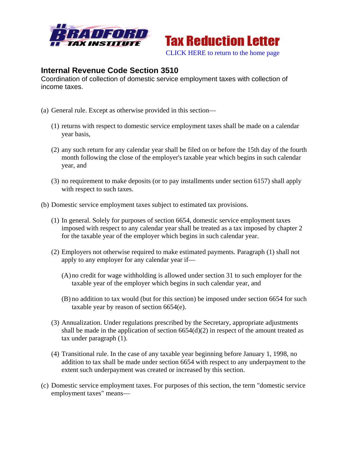



## **Internal Revenue Code Section 3510**

Coordination of collection of domestic service employment taxes with collection of income taxes.

- (a) General rule. Except as otherwise provided in this section—
	- (1) returns with respect to domestic service employment taxes shall be made on a calendar year basis,
	- (2) any such return for any calendar year shall be filed on or before the 15th day of the fourth month following the close of the employer's taxable year which begins in such calendar year, and
	- (3) no requirement to make deposits (or to pay installments under section 6157) shall apply with respect to such taxes.
- (b) Domestic service employment taxes subject to estimated tax provisions.
	- (1) In general. Solely for purposes of section 6654, domestic service employment taxes imposed with respect to any calendar year shall be treated as a tax imposed by chapter 2 for the taxable year of the employer which begins in such calendar year.
	- (2) Employers not otherwise required to make estimated payments. Paragraph (1) shall not apply to any employer for any calendar year if—
		- (A)no credit for wage withholding is allowed under section 31 to such employer for the taxable year of the employer which begins in such calendar year, and
		- (B) no addition to tax would (but for this section) be imposed under section 6654 for such taxable year by reason of section 6654(e).
	- (3) Annualization. Under regulations prescribed by the Secretary, appropriate adjustments shall be made in the application of section  $6654(d)(2)$  in respect of the amount treated as tax under paragraph (1).
	- (4) Transitional rule. In the case of any taxable year beginning before January 1, 1998, no addition to tax shall be made under section 6654 with respect to any underpayment to the extent such underpayment was created or increased by this section.
- (c) Domestic service employment taxes. For purposes of this section, the term "domestic service employment taxes" means—